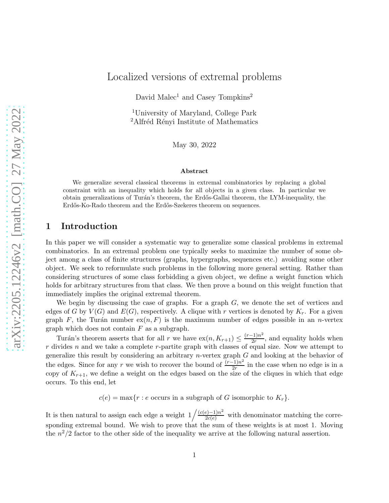# Localized versions of extremal problems

David Malec<sup>1</sup> and Casey Tompkins<sup>2</sup>

<sup>1</sup>University of Maryland, College Park <sup>2</sup>Alfréd Rényi Institute of Mathematics

May 30, 2022

#### Abstract

We generalize several classical theorems in extremal combinatorics by replacing a global constraint with an inequality which holds for all objects in a given class. In particular we obtain generalizations of Turán's theorem, the Erdős-Gallai theorem, the LYM-inequality, the Erdős-Ko-Rado theorem and the Erdős-Szekeres theorem on sequences.

### 1 Introduction

In this paper we will consider a systematic way to generalize some classical problems in extremal combinatorics. In an extremal problem one typically seeks to maximize the number of some object among a class of finite structures (graphs, hypergraphs, sequences etc.) avoiding some other object. We seek to reformulate such problems in the following more general setting. Rather than considering structures of some class forbidding a given object, we define a weight function which holds for arbitrary structures from that class. We then prove a bound on this weight function that immediately implies the original extremal theorem.

We begin by discussing the case of graphs. For a graph  $G$ , we denote the set of vertices and edges of G by  $V(G)$  and  $E(G)$ , respectively. A clique with r vertices is denoted by  $K_r$ . For a given graph F, the Turán number  $ex(n, F)$  is the maximum number of edges possible in an n-vertex graph which does not contain  $F$  as a subgraph.

Turán's theorem asserts that for all r we have  $\exp(n, K_{r+1}) \leq \frac{(r-1)n^2}{2r}$  $\frac{(-1)^n}{2r}$ , and equality holds when  $r$  divides  $n$  and we take a complete  $r$ -partite graph with classes of equal size. Now we attempt to generalize this result by considering an arbitrary *n*-vertex graph  $G$  and looking at the behavior of the edges. Since for any r we wish to recover the bound of  $\frac{(r-1)n^2}{2r}$  $\frac{1}{2r}$  in the case when no edge is in a copy of  $K_{r+1}$ , we define a weight on the edges based on the size of the cliques in which that edge occurs. To this end, let

 $c(e) = \max\{r : e \text{ occurs in a subgraph of } G \text{ isomorphic to } K_r\}.$ 

It is then natural to assign each edge a weight  $1/\frac{(c(e)-1)n^2}{2c(e)}$  $\frac{2e(-1)n}{2c(e)}$  with denominator matching the corresponding extremal bound. We wish to prove that the sum of these weights is at most 1. Moving the  $n^2/2$  factor to the other side of the inequality we arrive at the following natural assertion.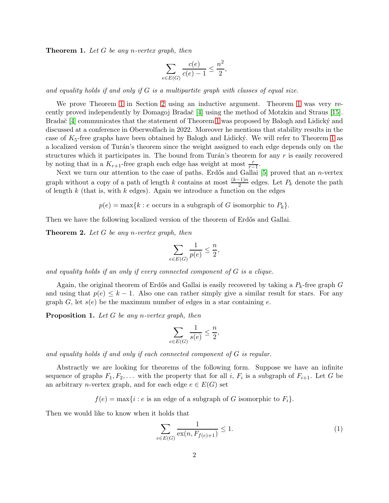<span id="page-1-0"></span>Theorem 1. *Let* G *be any* n*-vertex graph, then*

$$
\sum_{e \in E(G)} \frac{c(e)}{c(e) - 1} \le \frac{n^2}{2},
$$

*and equality holds if and only if* G *is a multipartite graph with classes of equal size.*

We prove Theorem [1](#page-1-0) in Section [2](#page-4-0) using an inductive argument. Theorem [1](#page-1-0) was very recently proved independently by Domagoj Brada $\zeta$ <sup>[4]</sup> using the method of Motzkin and Straus [\[15\]](#page-11-1). Brada $\check{c}$  [\[4\]](#page-11-0) communicates that the statement of Theorem [1](#page-1-0) was proposed by Balogh and Lidicky and discussed at a conference in Oberwolfach in 2022. Moreover he mentions that stability results in the case of  $K_5$ -free graphs have been obtained by Balogh and Lidicky. We will refer to Theorem [1](#page-1-0) as a localized version of Turán's theorem since the weight assigned to each edge depends only on the structures which it participates in. The bound from Turán's theorem for any  $r$  is easily recovered by noting that in a  $K_{r+1}$ -free graph each edge has weight at most  $\frac{r}{r-1}$ .

Next we turn our attention to the case of paths. Erdős and Gallai  $[5]$  proved that an *n*-vertex graph without a copy of a path of length k contains at most  $\frac{(k-1)n}{2}$  edges. Let  $P_k$  denote the path of length  $k$  (that is, with  $k$  edges). Again we introduce a function on the edges

 $p(e) = \max\{k : e \text{ occurs in a subgraph of } G \text{ isomorphic to } P_k\}.$ 

Then we have the following localized version of the theorem of Erdős and Gallai.

<span id="page-1-2"></span>Theorem 2. *Let* G *be any* n*-vertex graph, then*

$$
\sum_{e \in E(G)} \frac{1}{p(e)} \leq \frac{n}{2},
$$

*and equality holds if an only if every connected component of* G *is a clique.*

Again, the original theorem of Erdős and Gallai is easily recovered by taking a  $P_k$ -free graph G and using that  $p(e) \leq k-1$ . Also one can rather simply give a similar result for stars. For any graph G, let  $s(e)$  be the maximum number of edges in a star containing e.

<span id="page-1-3"></span>Proposition 1. *Let* G *be any* n*-vertex graph, then*

$$
\sum_{e \in E(G)} \frac{1}{s(e)} \le \frac{n}{2},
$$

*and equality holds if and only if each connected component of* G *is regular.*

Abstractly we are looking for theorems of the following form. Suppose we have an infinite sequence of graphs  $F_1, F_2, \ldots$  with the property that for all i,  $F_i$  is a subgraph of  $F_{i+1}$ . Let G be an arbitrary *n*-vertex graph, and for each edge  $e \in E(G)$  set

 $f(e) = \max\{i : e$  is an edge of a subgraph of G isomorphic to  $F_i\}.$ 

Then we would like to know when it holds that

<span id="page-1-1"></span>
$$
\sum_{e \in E(G)} \frac{1}{\exp(n, F_{f(e)+1})} \le 1. \tag{1}
$$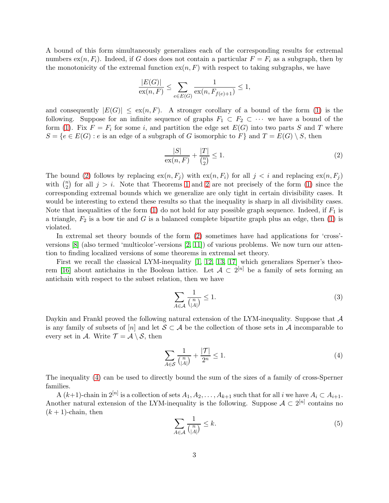A bound of this form simultaneously generalizes each of the corresponding results for extremal numbers  $ex(n, F_i)$ . Indeed, if G does does not contain a particular  $F = F_i$  as a subgraph, then by the monotonicity of the extremal function  $ex(n, F)$  with respect to taking subgraphs, we have

$$
\frac{|E(G)|}{\exp(n, F)} \le \sum_{e \in E(G)} \frac{1}{\exp(n, F_{f(e)+1})} \le 1,
$$

and consequently  $|E(G)| \leq \exp(n, F)$ . A stronger corollary of a bound of the form [\(1\)](#page-1-1) is the following. Suppose for an infinite sequence of graphs  $F_1 \subset F_2 \subset \cdots$  we have a bound of the form [\(1\)](#page-1-1). Fix  $F = F_i$  for some i, and partition the edge set  $E(G)$  into two parts S and T where  $S = \{e \in E(G) : e \text{ is an edge of a subgraph of } G \text{ isomorphic to } F\}$  and  $T = E(G) \setminus S$ , then

<span id="page-2-0"></span>
$$
\frac{|S|}{\operatorname{ex}(n,F)} + \frac{|T|}{\binom{n}{2}} \le 1.
$$
 (2)

The bound [\(2\)](#page-2-0) follows by replacing  $ex(n, F_i)$  with  $ex(n, F_i)$  for all  $j < i$  and replacing  $ex(n, F_i)$ with  $\binom{n}{2}$  $n_2$  for all  $j > i$ . Note that Theorems [1](#page-1-0) and [2](#page-1-2) are not precisely of the form [\(1\)](#page-1-1) since the corresponding extremal bounds which we generalize are only tight in certain divisibility cases. It would be interesting to extend these results so that the inequality is sharp in all divisibility cases. Note that inequalities of the form  $(1)$  do not hold for any possible graph sequence. Indeed, if  $F_1$  is a triangle,  $F_2$  is a bow tie and G is a balanced complete bipartite graph plus an edge, then [\(1\)](#page-1-1) is violated.

In extremal set theory bounds of the form [\(2\)](#page-2-0) sometimes have had applications for 'cross' versions [\[8\]](#page-11-3) (also termed 'multicolor'-versions [\[2,](#page-11-4) [11\]](#page-11-5)) of various problems. We now turn our attention to finding localized versions of some theorems in extremal set theory.

First we recall the classical LYM-inequality  $[1, 12, 13, 17]$  $[1, 12, 13, 17]$  $[1, 12, 13, 17]$  $[1, 12, 13, 17]$  which generalizes Sperner's theo-rem [\[16\]](#page-11-10) about antichains in the Boolean lattice. Let  $A \subset 2^{[n]}$  be a family of sets forming an antichain with respect to the subset relation, then we have

$$
\sum_{A \in \mathcal{A}} \frac{1}{\binom{n}{|A|}} \le 1. \tag{3}
$$

Daykin and Frankl proved the following natural extension of the LYM-inequality. Suppose that A is any family of subsets of [n] and let  $S \subset A$  be the collection of those sets in A incomparable to every set in A. Write  $\mathcal{T} = \mathcal{A} \setminus \mathcal{S}$ , then

<span id="page-2-1"></span>
$$
\sum_{A \in \mathcal{S}} \frac{1}{\binom{n}{|A|}} + \frac{|\mathcal{T}|}{2^n} \le 1. \tag{4}
$$

The inequality [\(4\)](#page-2-1) can be used to directly bound the sum of the sizes of a family of cross-Sperner families.

A  $(k+1)$ -chain in  $2^{[n]}$  is a collection of sets  $A_1, A_2, \ldots, A_{k+1}$  such that for all i we have  $A_i \subset A_{i+1}$ . Another natural extension of the LYM-inequality is the following. Suppose  $A \subset 2^{[n]}$  contains no  $(k+1)$ -chain, then

<span id="page-2-2"></span>
$$
\sum_{A \in \mathcal{A}} \frac{1}{\binom{n}{|A|}} \le k. \tag{5}
$$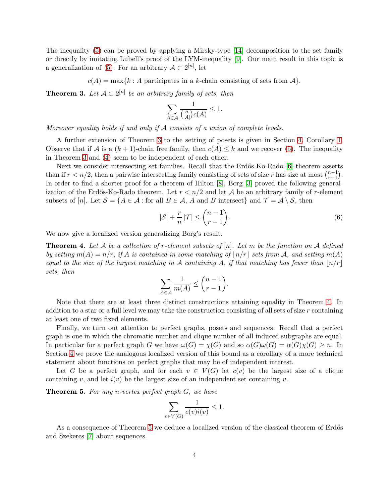The inequality [\(5\)](#page-2-2) can be proved by applying a Mirsky-type [\[14\]](#page-11-11) decomposition to the set family or directly by imitating Lubell's proof of the LYM-inequality [\[9\]](#page-11-12). Our main result in this topic is a generalization of [\(5\)](#page-2-2). For an arbitrary  $A \subset 2^{[n]}$ , let

 $c(A) = \max\{k : A \text{ participates in a } k\text{-chain consisting of sets from } A\}.$ 

<span id="page-3-0"></span>**Theorem 3.** Let  $A \subset 2^{[n]}$  be an arbitrary family of sets, then

$$
\sum_{A\in \mathcal{A}}\frac{1}{\binom{n}{|A|}c(A)}\leq 1.
$$

*Moreover equality holds if and only if* A *consists of a union of complete levels.*

A further extension of Theorem [3](#page-3-0) to the setting of posets is given in Section [4,](#page-8-0) Corollary [1.](#page-9-0) Observe that if A is a  $(k+1)$ -chain free family, then  $c(A) \leq k$  and we recover [\(5\)](#page-2-2). The inequality in Theorem [3](#page-3-0) and [\(4\)](#page-2-1) seem to be independent of each other.

Next we consider intersecting set families. Recall that the Erdős-Ko-Rado [\[6\]](#page-11-13) theorem asserts than if  $r < n/2$ , then a pairwise intersecting family consisting of sets of size r has size at most  $\binom{n-1}{r-1}$  $_{r-1}^{n-1}$ ). In order to find a shorter proof for a theorem of Hilton [\[8\]](#page-11-3), Borg [\[3\]](#page-11-14) proved the following generalization of the Erdős-Ko-Rado theorem. Let  $r < n/2$  and let A be an arbitrary family of r-element subsets of [n]. Let  $S = \{A \in \mathcal{A} : \text{for all } B \in \mathcal{A}, A \text{ and } B \text{ intersect}\}\$ and  $\mathcal{T} = \mathcal{A} \setminus \mathcal{S}$ , then

$$
|\mathcal{S}| + \frac{r}{n} |\mathcal{T}| \le \binom{n-1}{r-1}.
$$
\n<sup>(6)</sup>

We now give a localized version generalizing Borg's result.

<span id="page-3-1"></span>Theorem 4. *Let* A *be a collection of* r*-element subsets of* [n]*. Let* m *be the function on* A *defined by setting*  $m(A) = n/r$ *, if* A *is contained in some matching of*  $\lfloor n/r \rfloor$  *sets from* A, and setting  $m(A)$ *equal to the size of the largest matching in* A *containing* A, if that matching has fewer than  $\frac{|n/r|}{r}$ *sets, then*

$$
\sum_{A \in \mathcal{A}} \frac{1}{m(A)} \le \binom{n-1}{r-1}.
$$

Note that there are at least three distinct constructions attaining equality in Theorem [4.](#page-3-1) In addition to a star or a full level we may take the construction consisting of all sets of size  $r$  containing at least one of two fixed elements.

Finally, we turn out attention to perfect graphs, posets and sequences. Recall that a perfect graph is one in which the chromatic number and clique number of all induced subgraphs are equal. In particular for a perfect graph G we have  $\omega(G) = \chi(G)$  and so  $\alpha(G)\omega(G) = \alpha(G)\chi(G) \geq n$ . In Section [4](#page-8-0) we prove the analogous localized version of this bound as a corollary of a more technical statement about functions on perfect graphs that may be of independent interest.

Let G be a perfect graph, and for each  $v \in V(G)$  let  $c(v)$  be the largest size of a clique containing v, and let  $i(v)$  be the largest size of an independent set containing v.

<span id="page-3-2"></span>Theorem 5. *For any* n*-vertex perfect graph* G*, we have*

$$
\sum_{v \in V(G)} \frac{1}{c(v)i(v)} \le 1.
$$

As a consequence of Theorem [5](#page-3-2) we deduce a localized version of the classical theorem of Erdős and Szekeres [\[7\]](#page-11-15) about sequences.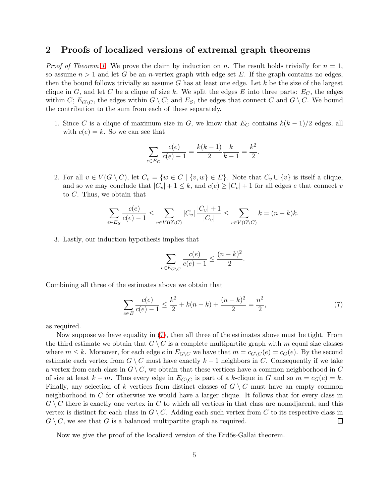## <span id="page-4-0"></span>2 Proofs of localized versions of extremal graph theorems

*Proof of Theorem [1.](#page-1-0)* We prove the claim by induction on n. The result holds trivially for  $n = 1$ , so assume  $n > 1$  and let G be an *n*-vertex graph with edge set E. If the graph contains no edges. then the bound follows trivially so assume  $G$  has at least one edge. Let  $k$  be the size of the largest clique in G, and let C be a clique of size k. We split the edges E into three parts:  $E_C$ , the edges within C;  $E_{G\setminus C}$ , the edges within  $G \setminus C$ ; and  $E_S$ , the edges that connect C and  $G \setminus C$ . We bound the contribution to the sum from each of these separately.

1. Since C is a clique of maximum size in G, we know that  $E_C$  contains  $k(k-1)/2$  edges, all with  $c(e) = k$ . So we can see that

$$
\sum_{e \in E_C} \frac{c(e)}{c(e) - 1} = \frac{k(k-1)}{2} \frac{k}{k-1} = \frac{k^2}{2}.
$$

2. For all  $v \in V(G \setminus C)$ , let  $C_v = \{w \in C \mid \{v, w\} \in E\}$ . Note that  $C_v \cup \{v\}$  is itself a clique, and so we may conclude that  $|C_v| + 1 \leq k$ , and  $c(e) \geq |C_v| + 1$  for all edges e that connect v to C. Thus, we obtain that

$$
\sum_{e \in E_S} \frac{c(e)}{c(e) - 1} \le \sum_{v \in V(G \setminus C)} |C_v| \frac{|C_v| + 1}{|C_v|} \le \sum_{v \in V(G \setminus C)} k = (n - k)k.
$$

3. Lastly, our induction hypothesis implies that

$$
\sum_{e \in E_{G \setminus C}} \frac{c(e)}{c(e) - 1} \le \frac{(n - k)^2}{2}.
$$

Combining all three of the estimates above we obtain that

<span id="page-4-1"></span>
$$
\sum_{e \in E} \frac{c(e)}{c(e) - 1} \le \frac{k^2}{2} + k(n - k) + \frac{(n - k)^2}{2} = \frac{n^2}{2},\tag{7}
$$

as required.

Now suppose we have equality in [\(7\)](#page-4-1), then all three of the estimates above must be tight. From the third estimate we obtain that  $G \setminus C$  is a complete multipartite graph with m equal size classes where  $m \leq k$ . Moreover, for each edge e in  $E_{G\setminus C}$  we have that  $m = c_{G\setminus C}(e) = c_G(e)$ . By the second estimate each vertex from  $G \setminus C$  must have exactly  $k-1$  neighbors in C. Consequently if we take a vertex from each class in  $G \setminus C$ , we obtain that these vertices have a common neighborhood in C of size at least  $k - m$ . Thus every edge in  $E_{G\setminus C}$  is part of a k-clique in G and so  $m = c_G(e) = k$ . Finally, any selection of k vertices from distinct classes of  $G \setminus C$  must have an empty common neighborhood in C for otherwise we would have a larger clique. It follows that for every class in  $G \setminus C$  there is exactly one vertex in C to which all vertices in that class are nonadjacent, and this vertex is distinct for each class in  $G \setminus C$ . Adding each such vertex from C to its respective class in  $G \setminus C$ , we see that G is a balanced multipartite graph as required.  $\Box$ 

Now we give the proof of the localized version of the Erdős-Gallai theorem.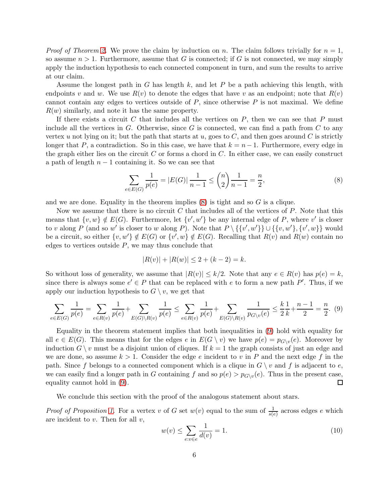*Proof of Theorem [2.](#page-1-2)* We prove the claim by induction on n. The claim follows trivially for  $n = 1$ , so assume  $n > 1$ . Furthermore, assume that G is connected; if G is not connected, we may simply apply the induction hypothesis to each connected component in turn, and sum the results to arrive at our claim.

Assume the longest path in G has length k, and let P be a path achieving this length, with endpoints v and w. We use  $R(v)$  to denote the edges that have v as an endpoint; note that  $R(v)$ cannot contain any edges to vertices outside of  $P$ , since otherwise  $P$  is not maximal. We define  $R(w)$  similarly, and note it has the same property.

If there exists a circuit  $C$  that includes all the vertices on  $P$ , then we can see that  $P$  must include all the vertices in  $G$ . Otherwise, since  $G$  is connected, we can find a path from  $C$  to any vertex u not lying on it; but the path that starts at u, goes to  $C$ , and then goes around  $C$  is strictly longer that P, a contradiction. So in this case, we have that  $k = n - 1$ . Furthermore, every edge in the graph either lies on the circuit  $C$  or forms a chord in  $C$ . In either case, we can easily construct a path of length  $n-1$  containing it. So we can see that

<span id="page-5-0"></span>
$$
\sum_{e \in E(G)} \frac{1}{p(e)} = |E(G)| \frac{1}{n-1} \le \binom{n}{2} \frac{1}{n-1} = \frac{n}{2},\tag{8}
$$

and we are done. Equality in the theorem implies  $(8)$  is tight and so G is a clique.

Now we assume that there is no circuit C that includes all of the vertices of  $P$ . Note that this means that  $\{v, w\} \notin E(G)$ . Furthermore, let  $\{v', w'\}$  be any internal edge of P, where v' is closer to v along P (and so w' is closer to w along P). Note that  $P \setminus {\{v', w'\}\}\cup {\{v, w', v\}}$  would be a circuit, so either  $\{v, w'\} \notin E(G)$  or  $\{v', w\} \notin E(G)$ . Recalling that  $R(v)$  and  $R(w)$  contain no edges to vertices outside  $P$ , we may thus conclude that

$$
|R(v)| + |R(w)| \le 2 + (k - 2) = k.
$$

So without loss of generality, we assume that  $|R(v)| \leq k/2$ . Note that any  $e \in R(v)$  has  $p(e) = k$ , since there is always some  $e' \in P$  that can be replaced with e to form a new path P'. Thus, if we apply our induction hypothesis to  $G \setminus v$ , we get that

<span id="page-5-1"></span>
$$
\sum_{e \in E(G)} \frac{1}{p(e)} = \sum_{e \in R(v)} \frac{1}{p(e)} + \sum_{E(G) \setminus R(v)} \frac{1}{p(e)} \le \sum_{e \in R(v)} \frac{1}{p(e)} + \sum_{E(G) \setminus R(v)} \frac{1}{p_{G \setminus v}(e)} \le \frac{k}{2} \frac{1}{k} + \frac{n-1}{2} = \frac{n}{2}.
$$
 (9)

Equality in the theorem statement implies that both inequalities in [\(9\)](#page-5-1) hold with equality for all  $e \in E(G)$ . This means that for the edges  $e$  in  $E(G \setminus v)$  we have  $p(e) = p_{G \setminus v}(e)$ . Moreover by induction  $G \setminus v$  must be a disjoint union of cliques. If  $k = 1$  the graph consists of just an edge and we are done, so assume  $k > 1$ . Consider the edge e incident to v in P and the next edge f in the path. Since f belongs to a connected component which is a clique in  $G \setminus v$  and f is adjacent to e, we can easily find a longer path in G containing f and so  $p(e) > p_{G\setminus v}(e)$ . Thus in the present case, equality cannot hold in [\(9\)](#page-5-1).  $\Box$ 

We conclude this section with the proof of the analogous statement about stars.

*Proof of Proposition [1.](#page-1-3)* For a vertex v of G set  $w(v)$  equal to the sum of  $\frac{1}{s(e)}$  across edges e which are incident to  $v$ . Then for all  $v$ ,

<span id="page-5-2"></span>
$$
w(v) \le \sum_{e:v \in e} \frac{1}{d(v)} = 1. \tag{10}
$$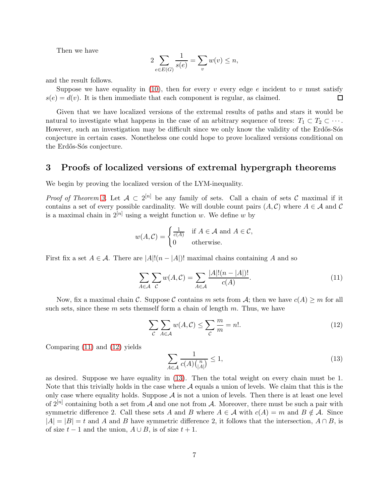Then we have

$$
2\sum_{e \in E(G)} \frac{1}{s(e)} = \sum_{v} w(v) \le n,
$$

and the result follows.

Suppose we have equality in [\(10\)](#page-5-2), then for every v every edge e incident to v must satisfy  $s(e) = d(v)$ . It is then immediate that each component is regular, as claimed. 口

Given that we have localized versions of the extremal results of paths and stars it would be natural to investigate what happens in the case of an arbitrary sequence of trees:  $T_1 \subset T_2 \subset \cdots$ . However, such an investigation may be difficult since we only know the validity of the Erdős-Sós conjecture in certain cases. Nonetheless one could hope to prove localized versions conditional on the Erdős-Sós conjecture.

# 3 Proofs of localized versions of extremal hypergraph theorems

We begin by proving the localized version of the LYM-inequality.

*Proof of Theorem [3.](#page-3-0)* Let  $A \subset 2^{[n]}$  be any family of sets. Call a chain of sets C maximal if it contains a set of every possible cardinality. We will double count pairs  $(A, C)$  where  $A \in \mathcal{A}$  and C is a maximal chain in  $2^{[n]}$  using a weight function w. We define w by

$$
w(A, C) = \begin{cases} \frac{1}{c(A)} & \text{if } A \in \mathcal{A} \text{ and } A \in \mathcal{C}, \\ 0 & \text{otherwise.} \end{cases}
$$

First fix a set  $A \in \mathcal{A}$ . There are  $|A|!(n - |A|)!$  maximal chains containing A and so

<span id="page-6-0"></span>
$$
\sum_{A \in \mathcal{A}} \sum_{\mathcal{C}} w(A, \mathcal{C}) = \sum_{A \in \mathcal{A}} \frac{|A|!(n - |A|)!}{c(A)}.
$$
\n(11)

Now, fix a maximal chain C. Suppose C contains m sets from A; then we have  $c(A) \ge m$  for all such sets, since these  $m$  sets themself form a chain of length  $m$ . Thus, we have

<span id="page-6-1"></span>
$$
\sum_{\mathcal{C}} \sum_{A \in \mathcal{A}} w(A, \mathcal{C}) \le \sum_{\mathcal{C}} \frac{m}{m} = n!.
$$
 (12)

Comparing [\(11\)](#page-6-0) and [\(12\)](#page-6-1) yields

<span id="page-6-2"></span>
$$
\sum_{A \in \mathcal{A}} \frac{1}{c(A) \binom{n}{|A|}} \le 1,\tag{13}
$$

as desired. Suppose we have equality in [\(13\)](#page-6-2). Then the total weight on every chain must be 1. Note that this trivially holds in the case where  $A$  equals a union of levels. We claim that this is the only case where equality holds. Suppose  $A$  is not a union of levels. Then there is at least one level of  $2^{[n]}$  containing both a set from A and one not from A. Moreover, there must be such a pair with symmetric difference 2. Call these sets A and B where  $A \in \mathcal{A}$  with  $c(A) = m$  and  $B \notin \mathcal{A}$ . Since  $|A| = |B| = t$  and A and B have symmetric difference 2, it follows that the intersection,  $A \cap B$ , is of size  $t - 1$  and the union,  $A \cup B$ , is of size  $t + 1$ .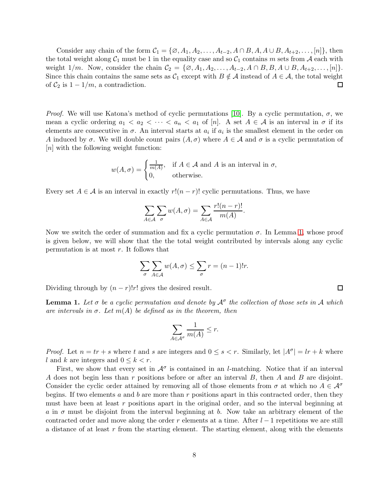Consider any chain of the form  $C_1 = \{ \emptyset, A_1, A_2, \ldots, A_{t-2}, A \cap B, A, A \cup B, A_{t+2}, \ldots, [n] \},$  then the total weight along  $C_1$  must be 1 in the equality case and so  $C_1$  contains m sets from A each with weight 1/m. Now, consider the chain  $C_2 = \{ \emptyset, A_1, A_2, \ldots, A_{t-2}, A \cap B, B, A \cup B, A_{t+2}, \ldots, [n] \}.$ Since this chain contains the same sets as  $C_1$  except with  $B \notin \mathcal{A}$  instead of  $A \in \mathcal{A}$ , the total weight of  $C_2$  is  $1 - 1/m$ , a contradiction.  $\Box$ 

*Proof.* We will use Katona's method of cyclic permutations [\[10\]](#page-11-16). By a cyclic permutation,  $\sigma$ , we mean a cyclic ordering  $a_1 < a_2 < \cdots < a_n < a_1$  of [n]. A set  $A \in \mathcal{A}$  is an interval in  $\sigma$  if its elements are consecutive in  $\sigma$ . An interval starts at  $a_i$  if  $a_i$  is the smallest element in the order on A induced by  $\sigma$ . We will double count pairs  $(A, \sigma)$  where  $A \in \mathcal{A}$  and  $\sigma$  is a cyclic permutation of [n] with the following weight function:

$$
w(A, \sigma) = \begin{cases} \frac{1}{m(A)}, & \text{if } A \in \mathcal{A} \text{ and } A \text{ is an interval in } \sigma, \\ 0, & \text{otherwise.} \end{cases}
$$

Every set  $A \in \mathcal{A}$  is an interval in exactly  $r!(n-r)!$  cyclic permutations. Thus, we have

$$
\sum_{A \in \mathcal{A}} \sum_{\sigma} w(A, \sigma) = \sum_{A \in \mathcal{A}} \frac{r!(n-r)!}{m(A)}.
$$

Now we switch the order of summation and fix a cyclic permutation  $\sigma$ . In Lemma [1,](#page-7-0) whose proof is given below, we will show that the the total weight contributed by intervals along any cyclic permutation is at most r. It follows that

$$
\sum_{\sigma} \sum_{A \in \mathcal{A}} w(A, \sigma) \le \sum_{\sigma} r = (n - 1)!r.
$$

 $\Box$ 

Dividing through by  $(n - r)!r!$  gives the desired result.

<span id="page-7-0"></span>**Lemma 1.** Let  $\sigma$  be a cyclic permutation and denote by  $A^{\sigma}$  the collection of those sets in A which *are intervals in*  $\sigma$ *. Let*  $m(A)$  *be defined as in the theorem, then* 

$$
\sum_{A \in \mathcal{A}^{\sigma}} \frac{1}{m(A)} \le r.
$$

*Proof.* Let  $n = tr + s$  where t and s are integers and  $0 \leq s < r$ . Similarly, let  $|A^{\sigma}| = lr + k$  where l and k are integers and  $0 \leq k \leq r$ .

First, we show that every set in  $\mathcal{A}^{\sigma}$  is contained in an *l*-matching. Notice that if an interval A does not begin less than  $r$  positions before or after an interval  $B$ , then  $A$  and  $B$  are disjoint. Consider the cyclic order attained by removing all of those elements from  $\sigma$  at which no  $A \in \mathcal{A}^{\sigma}$ begins. If two elements a and b are more than r positions apart in this contracted order, then they must have been at least r positions apart in the original order, and so the interval beginning at a in  $\sigma$  must be disjoint from the interval beginning at b. Now take an arbitrary element of the contracted order and move along the order r elements at a time. After  $l-1$  repetitions we are still a distance of at least  $r$  from the starting element. The starting element, along with the elements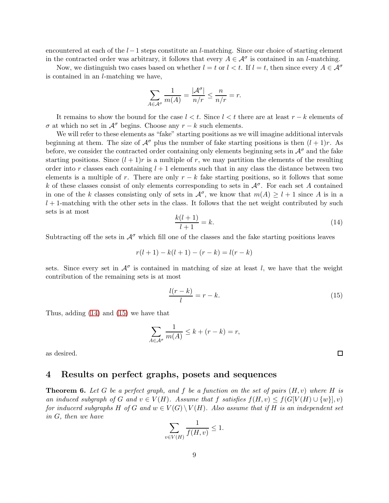encountered at each of the  $l-1$  steps constitute an l-matching. Since our choice of starting element in the contracted order was arbitrary, it follows that every  $A \in \mathcal{A}^{\sigma}$  is contained in an *l*-matching.

Now, we distinguish two cases based on whether  $l = t$  or  $l < t$ . If  $l = t$ , then since every  $A \in \mathcal{A}^{\sigma}$ is contained in an l-matching we have,

$$
\sum_{A \in \mathcal{A}^{\sigma}} \frac{1}{m(A)} = \frac{|\mathcal{A}^{\sigma}|}{n/r} \le \frac{n}{n/r} = r.
$$

It remains to show the bound for the case  $l < t$ . Since  $l < t$  there are at least  $r - k$  elements of  $\sigma$  at which no set in  $\mathcal{A}^{\sigma}$  begins. Choose any  $r - k$  such elements.

We will refer to these elements as "fake" starting positions as we will imagine additional intervals beginning at them. The size of  $\mathcal{A}^{\sigma}$  plus the number of fake starting positions is then  $(l + 1)r$ . As before, we consider the contracted order containing only elements beginning sets in  $\mathcal{A}^{\sigma}$  and the fake starting positions. Since  $(l + 1)r$  is a multiple of r, we may partition the elements of the resulting order into r classes each containing  $l + 1$  elements such that in any class the distance between two elements is a multiple of r. There are only  $r - k$  fake starting positions, so it follows that some k of these classes consist of only elements corresponding to sets in  $\mathcal{A}^{\sigma}$ . For each set A contained in one of the k classes consisting only of sets in  $\mathcal{A}^{\sigma}$ , we know that  $m(A) \geq l+1$  since A is in a  $l + 1$ -matching with the other sets in the class. It follows that the net weight contributed by such sets is at most

<span id="page-8-1"></span>
$$
\frac{k(l+1)}{l+1} = k.\tag{14}
$$

Subtracting off the sets in  $\mathcal{A}^{\sigma}$  which fill one of the classes and the fake starting positions leaves

$$
r(l+1) - k(l+1) - (r - k) = l(r - k)
$$

sets. Since every set in  $\mathcal{A}^{\sigma}$  is contained in matching of size at least l, we have that the weight contribution of the remaining sets is at most

<span id="page-8-2"></span>
$$
\frac{l(r-k)}{l} = r - k.\tag{15}
$$

Thus, adding [\(14\)](#page-8-1) and [\(15\)](#page-8-2) we have that

$$
\sum_{A \in \mathcal{A}^{\sigma}} \frac{1}{m(A)} \le k + (r - k) = r,
$$

<span id="page-8-0"></span>as desired.

### 4 Results on perfect graphs, posets and sequences

<span id="page-8-3"></span>Theorem 6. *Let* G *be a perfect graph, and* f *be a function on the set of pairs* (H, v) *where* H *is an induced subgraph of* G and  $v \in V(H)$ *. Assume that* f *satisfies*  $f(H, v) \leq f(G[V(H) \cup \{w\}], v)$ *for inducerd subgraphs* H *of* G and  $w \in V(G) \setminus V(H)$ *. Also assume that if* H *is an independent set in* G*, then we have*

$$
\sum_{v \in V(H)} \frac{1}{f(H,v)} \le 1.
$$

 $\Box$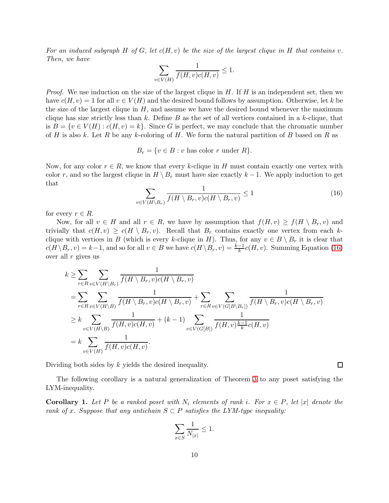*For an induced subgraph* H *of* G*, let* c(H, v) *be the size of the largest clique in* H *that contains* v*. Then, we have*

$$
\sum_{v \in V(H)} \frac{1}{f(H,v)c(H,v)} \le 1.
$$

*Proof.* We use induction on the size of the largest clique in  $H$ . If  $H$  is an independent set, then we have  $c(H, v) = 1$  for all  $v \in V(H)$  and the desired bound follows by assumption. Otherwise, let k be the size of the largest clique in  $H$ , and assume we have the desired bound whenever the maximum clique has size strictly less than k. Define  $B$  as the set of all vertices contained in a k-clique, that is  $B = \{v \in V(H) : c(H, v) = k\}.$  Since G is perfect, we may conclude that the chromatic number of H is also k. Let R be any k-coloring of H. We form the natural partition of B based on R as

 $B_r = \{v \in B : v \text{ has color } r \text{ under } R\}.$ 

Now, for any color  $r \in R$ , we know that every k-clique in H must contain exactly one vertex with color r, and so the largest clique in  $H \setminus B_r$  must have size exactly  $k-1$ . We apply induction to get that

<span id="page-9-1"></span>
$$
\sum_{v \in V(H \setminus B_r)} \frac{1}{f(H \setminus B_r, v)c(H \setminus B_r, v)} \le 1 \tag{16}
$$

for every  $r \in R$ .

Now, for all  $v \in H$  and all  $r \in R$ , we have by assumption that  $f(H, v) \ge f(H \setminus B_r, v)$  and trivially that  $c(H, v) \geq c(H \setminus B_r, v)$ . Recall that  $B_r$  contains exactly one vertex from each kclique with vertices in B (which is every k-clique in H). Thus, for any  $v \in B \setminus B_r$  it is clear that  $c(H \setminus B_r, v) = k - 1$ , and so for all  $v \in B$  we have  $c(H \setminus B_r, v) = \frac{k-1}{k}c(H, v)$ . Summing Equation [\(16\)](#page-9-1) over all  $r$  gives us

$$
k \geq \sum_{r \in R} \sum_{v \in V(H \setminus B_r)} \frac{1}{f(H \setminus B_r, v)c(H \setminus B_r, v)}
$$
  
= 
$$
\sum_{r \in R} \sum_{v \in V(H \setminus B)} \frac{1}{f(H \setminus B_r, v)c(H \setminus B_r, v)} + \sum_{r \in R} \sum_{v \in V(G[B \setminus B_r])} \frac{1}{f(H \setminus B_r, v)c(H \setminus B_r, v)}
$$
  

$$
\geq k \sum_{v \in V(H \setminus B)} \frac{1}{f(H, v)c(H, v)} + (k - 1) \sum_{v \in V(G[B])} \frac{1}{f(H, v) \frac{k-1}{k}c(H, v)}
$$
  
= 
$$
k \sum_{v \in V(H)} \frac{1}{f(H, v)c(H, v)}.
$$

Dividing both sides by k yields the desired inequality.

The following corollary is a natural generalization of Theorem [3](#page-3-0) to any poset satisfying the LYM-inequality.

<span id="page-9-0"></span>**Corollary 1.** Let P be a ranked poset with  $N_i$  elements of rank i. For  $x \in P$ , let |x| denote the *rank of x. Suppose that any antichain*  $S \subset P$  *satisfies the LYM-type inequality:* 

$$
\sum_{x\in S}\frac{1}{N_{|x|}}\leq 1.
$$

 $\Box$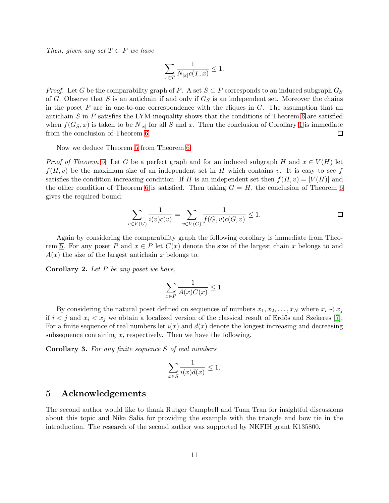*Then, given any set*  $T \subset P$  *we have* 

$$
\sum_{x\in T}\frac{1}{N_{|x|}c(T,x)}\leq 1.
$$

*Proof.* Let G be the comparability graph of P. A set  $S \subset P$  corresponds to an induced subgraph  $G_S$ of G. Observe that S is an antichain if and only if  $G<sub>S</sub>$  is an independent set. Moreover the chains in the poset  $P$  are in one-to-one correspondence with the cliques in  $G$ . The assumption that an antichain  $S$  in  $P$  satisfies the LYM-inequality shows that the conditions of Theorem [6](#page-8-3) are satisfied when  $f(G_S, x)$  is taken to be  $N_{|x|}$  for all S and x. Then the conclusion of Corollary [1](#page-9-0) is immediate from the conclusion of Theorem [6.](#page-8-3)  $\Box$ 

Now we deduce Theorem [5](#page-3-2) from Theorem [6.](#page-8-3)

*Proof of Theorem [5.](#page-3-2)* Let G be a perfect graph and for an induced subgraph H and  $x \in V(H)$  let  $f(H, v)$  be the maximum size of an independent set in H which contains v. It is easy to see f satisfies the condition increasing condition. If H is an independent set then  $f(H, v) = |V(H)|$  and the other condition of Theorem [6](#page-8-3) is satisfied. Then taking  $G = H$ , the conclusion of Theorem 6 gives the required bound:

$$
\sum_{v \in V(G)} \frac{1}{i(v)c(v)} = \sum_{v \in V(G)} \frac{1}{f(G,v)c(G,v)} \le 1.
$$

Again by considering the comparability graph the following corollary is immediate from Theo-rem [5.](#page-3-2) For any poset P and  $x \in P$  let  $C(x)$  denote the size of the largest chain x belongs to and  $A(x)$  the size of the largest antichain x belongs to.

Corollary 2. *Let* P *be any poset we have,*

$$
\sum_{x \in P} \frac{1}{A(x)C(x)} \le 1.
$$

By considering the natural poset defined on sequences of numbers  $x_1, x_2, \ldots, x_N$  where  $x_i \prec x_j$ if  $i < j$  and  $x_i < x_j$  we obtain a localized version of the classical result of Erdős and Szekeres [\[7\]](#page-11-15). For a finite sequence of real numbers let  $i(x)$  and  $d(x)$  denote the longest increasing and decreasing subsequence containing  $x$ , respectively. Then we have the following.

Corollary 3. *For any finite sequence* S *of real numbers*

$$
\sum_{x \in S} \frac{1}{i(x)d(x)} \le 1.
$$

#### 5 Acknowledgements

The second author would like to thank Rutger Campbell and Tuan Tran for insightful discussions about this topic and Nika Salia for providing the example with the triangle and bow tie in the introduction. The research of the second author was supported by NKFIH grant K135800.